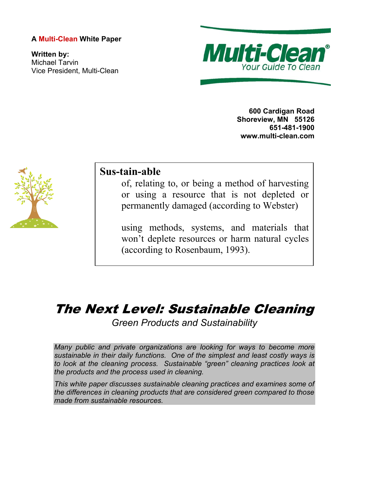# **A Multi-Clean White Paper**

**Written by:**  Michael Tarvin Vice President, Multi-Clean



**600 Cardigan Road Shoreview, MN 55126 651-481-1900 www.multi-clean.com** 



# **Sus-tain-able**

of, relating to, or being a method of harvesting or using a resource that is not depleted or permanently damaged (according to Webster)

using methods, systems, and materials that won't deplete resources or harm natural cycles (according to Rosenbaum, 1993).

# The Next Level: Sustainable Cleaning

*Green Products and Sustainability* 

*Many public and private organizations are looking for ways to become more sustainable in their daily functions. One of the simplest and least costly ways is to look at the cleaning process. Sustainable "green" cleaning practices look at the products and the process used in cleaning.* 

*This white paper discusses sustainable cleaning practices and examines some of the differences in cleaning products that are considered green compared to those made from sustainable resources.*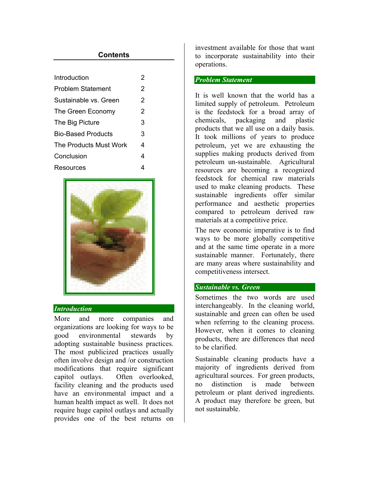# **Contents**

| Introduction              | 2 |
|---------------------------|---|
| <b>Problem Statement</b>  | 2 |
| Sustainable vs. Green     | 2 |
| The Green Economy         | 2 |
| The Big Picture           | 3 |
| <b>Bio-Based Products</b> | 3 |
| The Products Must Work    | 4 |
| Conclusion                | 4 |
| Resources                 | 4 |
|                           |   |



#### *Introduction*

More and more companies and organizations are looking for ways to be good environmental stewards by adopting sustainable business practices. The most publicized practices usually often involve design and /or construction modifications that require significant capitol outlays. Often overlooked, facility cleaning and the products used have an environmental impact and a human health impact as well. It does not require huge capitol outlays and actually provides one of the best returns on investment available for those that want to incorporate sustainability into their operations.

#### *Problem Statement*

It is well known that the world has a limited supply of petroleum. Petroleum is the feedstock for a broad array of chemicals, packaging and plastic products that we all use on a daily basis. It took millions of years to produce petroleum, yet we are exhausting the supplies making products derived from petroleum un-sustainable. Agricultural resources are becoming a recognized feedstock for chemical raw materials used to make cleaning products. These sustainable ingredients offer similar performance and aesthetic properties compared to petroleum derived raw materials at a competitive price.

The new economic imperative is to find ways to be more globally competitive and at the same time operate in a more sustainable manner. Fortunately, there are many areas where sustainability and competitiveness intersect.

#### *Sustainable vs. Green*

Sometimes the two words are used interchangeably. In the cleaning world, sustainable and green can often be used when referring to the cleaning process. However, when it comes to cleaning products, there are differences that need to be clarified.

Sustainable cleaning products have a majority of ingredients derived from agricultural sources. For green products, no distinction is made between petroleum or plant derived ingredients. A product may therefore be green, but not sustainable.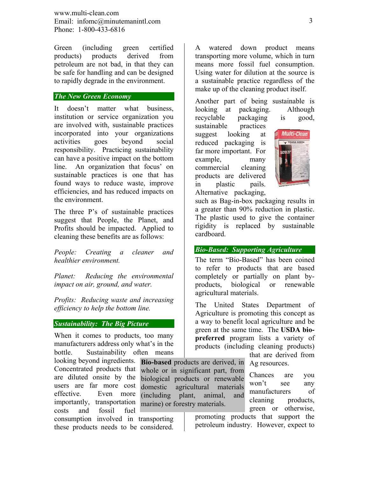www.multi-clean.com Email: infomc@minutemanintl.com Phone: 1-800-433-6816

Green (including green certified products) products derived from petroleum are not bad, in that they can be safe for handling and can be designed to rapidly degrade in the environment.

#### *The New Green Economy*

It doesn't matter what business, institution or service organization you are involved with, sustainable practices incorporated into your organizations activities goes beyond social responsibility. Practicing sustainability can have a positive impact on the bottom line. An organization that focus' on sustainable practices is one that has found ways to reduce waste, improve efficiencies, and has reduced impacts on the environment.

The three P's of sustainable practices suggest that People, the Planet, and Profits should be impacted. Applied to cleaning these benefits are as follows:

*People: Creating a cleaner and healthier environment.* 

*Planet: Reducing the environmental impact on air, ground, and water.* 

*Profits: Reducing waste and increasing efficiency to help the bottom line.* 

### *Sustainability: The Big Picture*

When it comes to products, too many manufacturers address only what's in the bottle. Sustainability often means

Concentrated products that are diluted onsite by the users are far more cost effective. Even more importantly, transportation costs and fossil fuel consumption involved in transporting these products needs to be considered.

A watered down product means transporting more volume, which in turn means more fossil fuel consumption. Using water for dilution at the source is a sustainable practice regardless of the make up of the cleaning product itself.

Another part of being sustainable is looking at packaging. Although

recyclable packaging is good, sustainable practices suggest looking at reduced packaging is far more important. For example, many commercial cleaning products are delivered in plastic pails. Alternative packaging,



such as Bag-in-box packaging results in a greater than 90% reduction in plastic. The plastic used to give the container rigidity is replaced by sustainable cardboard.

#### *Bio-Based: Supporting Agriculture*

The term "Bio-Based" has been coined to refer to products that are based completely or partially on plant byproducts, biological or renewable agricultural materials.

The United States Department of Agriculture is promoting this concept as a way to benefit local agriculture and be green at the same time. The **USDA biopreferred** program lists a variety of products (including cleaning products) that are derived from

looking beyond ingredients. **Bio-based** products are derived, in Ag resources. whole or in significant part, from biological products or renewable domestic agricultural materials (including plant, animal, and marine) or forestry materials.

Chances are you won't see any manufacturers of cleaning products, green or otherwise,

promoting products that support the petroleum industry. However, expect to